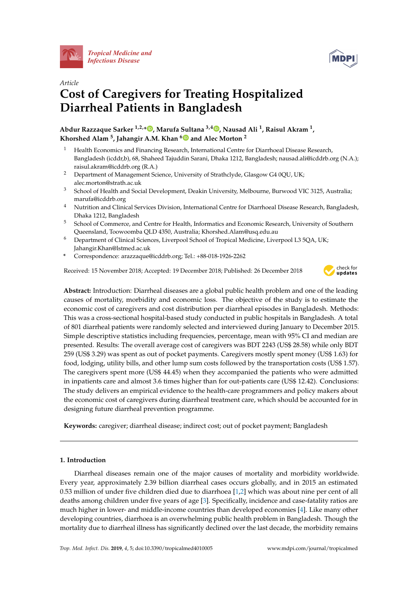



# *Article* **Cost of Caregivers for Treating Hospitalized Diarrheal Patients in Bangladesh**

**Abdur Razzaque Sarker 1,2,\* , Marufa Sultana 3,4 , Nausad Ali 1, Raisul Akram 1, Khorshed Alam 5, Jahangir A.M. Khan <sup>6</sup> and Alec Morton <sup>2</sup>**

- <sup>1</sup> Health Economics and Financing Research, International Centre for Diarrhoeal Disease Research, Bangladesh (icddr,b), 68, Shaheed Tajuddin Sarani, Dhaka 1212, Bangladesh; nausad.ali@icddrb.org (N.A.); raisul.akram@icddrb.org (R.A.)
- <sup>2</sup> Department of Management Science, University of Strathclyde, Glasgow G4 0QU, UK; alec.morton@strath.ac.uk
- <sup>3</sup> School of Health and Social Development, Deakin University, Melbourne, Burwood VIC 3125, Australia; marufa@icddrb.org
- <sup>4</sup> Nutrition and Clinical Services Division, International Centre for Diarrhoeal Disease Research, Bangladesh, Dhaka 1212, Bangladesh
- <sup>5</sup> School of Commerce, and Centre for Health, Informatics and Economic Research, University of Southern Queensland, Toowoomba QLD 4350, Australia; Khorshed.Alam@usq.edu.au
- <sup>6</sup> Department of Clinical Sciences, Liverpool School of Tropical Medicine, Liverpool L3 5QA, UK; Jahangir.Khan@lstmed.ac.uk
- **\*** Correspondence: arazzaque@icddrb.org; Tel.: +88-018-1926-2262

Received: 15 November 2018; Accepted: 19 December 2018; Published: 26 December 2018



**Abstract:** Introduction: Diarrheal diseases are a global public health problem and one of the leading causes of mortality, morbidity and economic loss. The objective of the study is to estimate the economic cost of caregivers and cost distribution per diarrheal episodes in Bangladesh. Methods: This was a cross-sectional hospital-based study conducted in public hospitals in Bangladesh. A total of 801 diarrheal patients were randomly selected and interviewed during January to December 2015. Simple descriptive statistics including frequencies, percentage, mean with 95% CI and median are presented. Results: The overall average cost of caregivers was BDT 2243 (US\$ 28.58) while only BDT 259 (US\$ 3.29) was spent as out of pocket payments. Caregivers mostly spent money (US\$ 1.63) for food, lodging, utility bills, and other lump sum costs followed by the transportation costs (US\$ 1.57). The caregivers spent more (US\$ 44.45) when they accompanied the patients who were admitted in inpatients care and almost 3.6 times higher than for out-patients care (US\$ 12.42). Conclusions: The study delivers an empirical evidence to the health-care programmers and policy makers about the economic cost of caregivers during diarrheal treatment care, which should be accounted for in designing future diarrheal prevention programme.

**Keywords:** caregiver; diarrheal disease; indirect cost; out of pocket payment; Bangladesh

# **1. Introduction**

Diarrheal diseases remain one of the major causes of mortality and morbidity worldwide. Every year, approximately 2.39 billion diarrheal cases occurs globally, and in 2015 an estimated 0.53 million of under five children died due to diarrhoea [1,2] which was about nine per cent of all deaths among children under five years of age [3]. Specifically, incidence and case-fatality ratios are much higher in lower- and middle-income countries than developed economies [4]. Like many other developing countries, diarrhoea is an overwhelming public health problem in Bangladesh. Though the mortality due to diarrheal illness has significantly declined over the last decade, the morbidity remains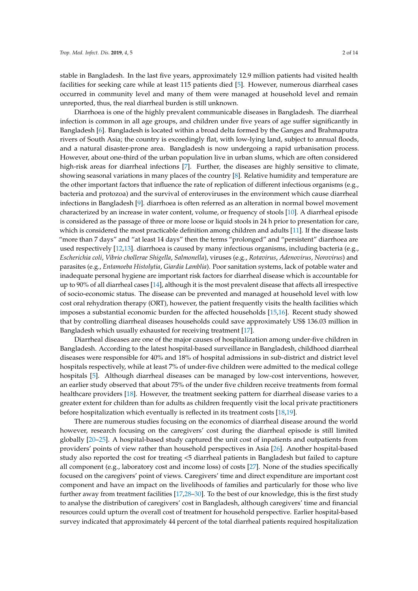stable in Bangladesh. In the last five years, approximately 12.9 million patients had visited health facilities for seeking care while at least 115 patients died [5]. However, numerous diarrheal cases occurred in community level and many of them were managed at household level and remain unreported, thus, the real diarrheal burden is still unknown.

Diarrhoea is one of the highly prevalent communicable diseases in Bangladesh. The diarrheal infection is common in all age groups, and children under five years of age suffer significantly in Bangladesh [6]. Bangladesh is located within a broad delta formed by the Ganges and Brahmaputra rivers of South Asia; the country is exceedingly flat, with low-lying land, subject to annual floods, and a natural disaster-prone area. Bangladesh is now undergoing a rapid urbanisation process. However, about one-third of the urban population live in urban slums, which are often considered high-risk areas for diarrheal infections [7]. Further, the diseases are highly sensitive to climate, showing seasonal variations in many places of the country [8]. Relative humidity and temperature are the other important factors that influence the rate of replication of different infectious organisms (e.g., bacteria and protozoa) and the survival of enteroviruses in the environment which cause diarrheal infections in Bangladesh [9]. diarrhoea is often referred as an alteration in normal bowel movement characterized by an increase in water content, volume, or frequency of stools [10]. A diarrheal episode is considered as the passage of three or more loose or liquid stools in 24 h prior to presentation for care, which is considered the most practicable definition among children and adults [11]. If the disease lasts "more than 7 days" and "at least 14 days" then the terms "prolonged" and "persistent" diarrhoea are used respectively [12,13]. diarrhoea is caused by many infectious organisms, including bacteria (e.g., *Escherichia coli*, *Vibrio chollerae Shigella*, *Salmonella*), viruses (e.g., *Rotavirus*, *Adenovirus*, *Norovirus*) and parasites (e.g., *Entamoeba Histolytia*, *Giardia Lamblia*). Poor sanitation systems, lack of potable water and inadequate personal hygiene are important risk factors for diarrheal disease which is accountable for up to 90% of all diarrheal cases [14], although it is the most prevalent disease that affects all irrespective of socio-economic status. The disease can be prevented and managed at household level with low cost oral rehydration therapy (ORT), however, the patient frequently visits the health facilities which imposes a substantial economic burden for the affected households [15,16]. Recent study showed that by controlling diarrheal diseases households could save approximately US\$ 136.03 million in Bangladesh which usually exhausted for receiving treatment [17].

Diarrheal diseases are one of the major causes of hospitalization among under-five children in Bangladesh. According to the latest hospital-based surveillance in Bangladesh, childhood diarrheal diseases were responsible for 40% and 18% of hospital admissions in sub-district and district level hospitals respectively, while at least 7% of under-five children were admitted to the medical college hospitals [5]. Although diarrheal diseases can be managed by low-cost interventions, however, an earlier study observed that about 75% of the under five children receive treatments from formal healthcare providers [18]. However, the treatment seeking pattern for diarrheal disease varies to a greater extent for children than for adults as children frequently visit the local private practitioners before hospitalization which eventually is reflected in its treatment costs [18,19].

There are numerous studies focusing on the economics of diarrheal disease around the world however, research focusing on the caregivers' cost during the diarrheal episode is still limited globally [20–25]. A hospital-based study captured the unit cost of inpatients and outpatients from providers' points of view rather than household perspectives in Asia [26]. Another hospital-based study also reported the cost for treating <5 diarrheal patients in Bangladesh but failed to capture all component (e.g., laboratory cost and income loss) of costs [27]. None of the studies specifically focused on the caregivers' point of views. Caregivers' time and direct expenditure are important cost component and have an impact on the livelihoods of families and particularly for those who live further away from treatment facilities [17,28–30]. To the best of our knowledge, this is the first study to analyse the distribution of caregivers' cost in Bangladesh, although caregivers' time and financial resources could upturn the overall cost of treatment for household perspective. Earlier hospital-based survey indicated that approximately 44 percent of the total diarrheal patients required hospitalization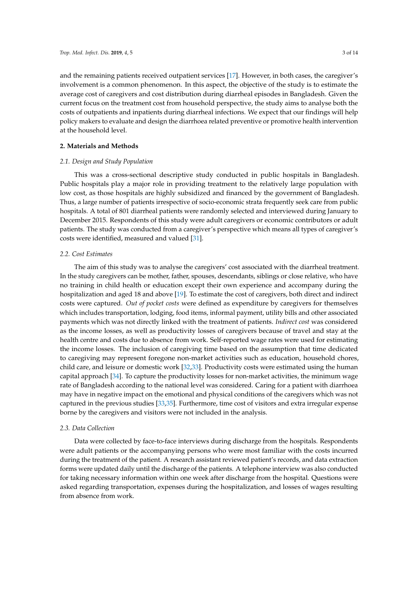and the remaining patients received outpatient services [17]. However, in both cases, the caregiver's involvement is a common phenomenon. In this aspect, the objective of the study is to estimate the average cost of caregivers and cost distribution during diarrheal episodes in Bangladesh. Given the current focus on the treatment cost from household perspective, the study aims to analyse both the costs of outpatients and inpatients during diarrheal infections. We expect that our findings will help policy makers to evaluate and design the diarrhoea related preventive or promotive health intervention at the household level.

## **2. Materials and Methods**

## *2.1. Design and Study Population*

This was a cross-sectional descriptive study conducted in public hospitals in Bangladesh. Public hospitals play a major role in providing treatment to the relatively large population with low cost, as those hospitals are highly subsidized and financed by the government of Bangladesh. Thus, a large number of patients irrespective of socio-economic strata frequently seek care from public hospitals. A total of 801 diarrheal patients were randomly selected and interviewed during January to December 2015. Respondents of this study were adult caregivers or economic contributors or adult patients. The study was conducted from a caregiver's perspective which means all types of caregiver's costs were identified, measured and valued [31].

#### *2.2. Cost Estimates*

The aim of this study was to analyse the caregivers' cost associated with the diarrheal treatment. In the study caregivers can be mother, father, spouses, descendants, siblings or close relative, who have no training in child health or education except their own experience and accompany during the hospitalization and aged 18 and above [19]. To estimate the cost of caregivers, both direct and indirect costs were captured. *Out of pocket costs* were defined as expenditure by caregivers for themselves which includes transportation, lodging, food items, informal payment, utility bills and other associated payments which was not directly linked with the treatment of patients. *Indirect cost* was considered as the income losses, as well as productivity losses of caregivers because of travel and stay at the health centre and costs due to absence from work. Self-reported wage rates were used for estimating the income losses. The inclusion of caregiving time based on the assumption that time dedicated to caregiving may represent foregone non-market activities such as education, household chores, child care, and leisure or domestic work [32,33]. Productivity costs were estimated using the human capital approach [34]. To capture the productivity losses for non-market activities, the minimum wage rate of Bangladesh according to the national level was considered. Caring for a patient with diarrhoea may have in negative impact on the emotional and physical conditions of the caregivers which was not captured in the previous studies [33,35]. Furthermore, time cost of visitors and extra irregular expense borne by the caregivers and visitors were not included in the analysis.

## *2.3. Data Collection*

Data were collected by face-to-face interviews during discharge from the hospitals. Respondents were adult patients or the accompanying persons who were most familiar with the costs incurred during the treatment of the patient. A research assistant reviewed patient's records, and data extraction forms were updated daily until the discharge of the patients. A telephone interview was also conducted for taking necessary information within one week after discharge from the hospital. Questions were asked regarding transportation, expenses during the hospitalization, and losses of wages resulting from absence from work.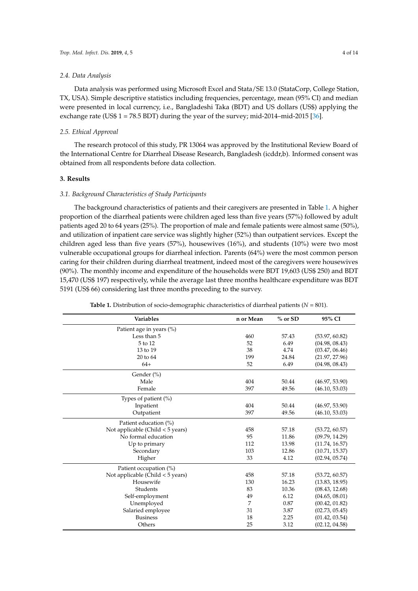#### *2.4. Data Analysis*

Data analysis was performed using Microsoft Excel and Stata/SE 13.0 (StataCorp, College Station, TX, USA). Simple descriptive statistics including frequencies, percentage, mean (95% CI) and median were presented in local currency, i.e., Bangladeshi Taka (BDT) and US dollars (US\$) applying the exchange rate (US\$  $1 = 78.5$  BDT) during the year of the survey; mid-2014–mid-2015 [36].

## *2.5. Ethical Approval*

The research protocol of this study, PR 13064 was approved by the Institutional Review Board of the International Centre for Diarrheal Disease Research, Bangladesh (icddr,b). Informed consent was obtained from all respondents before data collection.

## **3. Results**

#### *3.1. Background Characteristics of Study Participants*

The background characteristics of patients and their caregivers are presented in Table 1. A higher proportion of the diarrheal patients were children aged less than five years (57%) followed by adult patients aged 20 to 64 years (25%). The proportion of male and female patients were almost same (50%), and utilization of inpatient care service was slightly higher (52%) than outpatient services. Except the children aged less than five years (57%), housewives (16%), and students (10%) were two most vulnerable occupational groups for diarrheal infection. Parents (64%) were the most common person caring for their children during diarrheal treatment, indeed most of the caregivers were housewives (90%). The monthly income and expenditure of the households were BDT 19,603 (US\$ 250) and BDT 15,470 (US\$ 197) respectively, while the average last three months healthcare expenditure was BDT 5191 (US\$ 66) considering last three months preceding to the survey.

| <b>Variables</b>                   | n or Mean | % or SD | 95% CI         |
|------------------------------------|-----------|---------|----------------|
| Patient age in years (%)           |           |         |                |
| Less than 5                        | 460       | 57.43   | (53.97, 60.82) |
| 5 to 12                            | 52        | 6.49    | (04.98, 08.43) |
| 13 to 19                           | 38        | 4.74    | (03.47, 06.46) |
| 20 to 64                           | 199       | 24.84   | (21.97, 27.96) |
| $64+$                              | 52        | 6.49    | (04.98, 08.43) |
| Gender (%)                         |           |         |                |
| Male                               | 404       | 50.44   | (46.97, 53.90) |
| Female                             | 397       | 49.56   | (46.10, 53.03) |
| Types of patient $(\%)$            |           |         |                |
| Inpatient                          | 404       | 50.44   | (46.97, 53.90) |
| Outpatient                         | 397       | 49.56   | (46.10, 53.03) |
| Patient education (%)              |           |         |                |
| Not applicable (Child $<$ 5 years) | 458       | 57.18   | (53.72, 60.57) |
| No formal education                | 95        | 11.86   | (09.79, 14.29) |
| Up to primary                      | 112       | 13.98   | (11.74, 16.57) |
| Secondary                          | 103       | 12.86   | (10.71, 15.37) |
| Higher                             | 33        | 4.12    | (02.94, 05.74) |
| Patient occupation (%)             |           |         |                |
| Not applicable (Child $<$ 5 years) | 458       | 57.18   | (53.72, 60.57) |
| Housewife                          | 130       | 16.23   | (13.83, 18.95) |
| Students                           | 83        | 10.36   | (08.43, 12.68) |
| Self-employment                    | 49        | 6.12    | (04.65, 08.01) |
| Unemployed                         | 7         | 0.87    | (00.42, 01.82) |
| Salaried employee                  | 31        | 3.87    | (02.73, 05.45) |
| <b>Business</b>                    | 18        | 2.25    | (01.42, 03.54) |
| Others                             | 25        | 3.12    | (02.12, 04.58) |

**Table 1.** Distribution of socio-demographic characteristics of diarrheal patients (*N* = 801).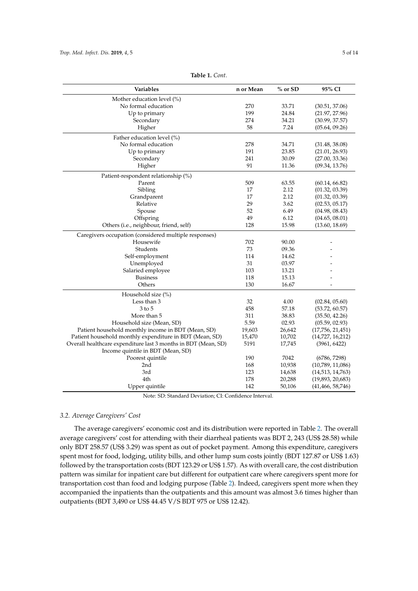| Variables                                                      | n or Mean | % or SD | 95% CI             |
|----------------------------------------------------------------|-----------|---------|--------------------|
| Mother education level (%)                                     |           |         |                    |
| No formal education                                            | 270       | 33.71   | (30.51, 37.06)     |
| Up to primary                                                  | 199       | 24.84   | (21.97, 27.96)     |
| Secondary                                                      | 274       | 34.21   | (30.99, 37.57)     |
| Higher                                                         | 58        | 7.24    | (05.64, 09.26)     |
| Father education level (%)                                     |           |         |                    |
| No formal education                                            | 278       | 34.71   | (31.48, 38.08)     |
| Up to primary                                                  | 191       | 23.85   | (21.01, 26.93)     |
| Secondary                                                      | 241       | 30.09   | (27.00, 33.36)     |
| Higher                                                         | 91        | 11.36   | (09.34, 13.76)     |
| Patient-respondent relationship (%)                            |           |         |                    |
| Parent                                                         | 509       | 63.55   | (60.14, 66.82)     |
| Sibling                                                        | 17        | 2.12    | (01.32, 03.39)     |
| Grandparent                                                    | 17        | 2.12    | (01.32, 03.39)     |
| Relative                                                       | 29        | 3.62    | (02.53, 05.17)     |
| Spouse                                                         | 52        | 6.49    | (04.98, 08.43)     |
| Offspring                                                      | 49        | 6.12    | (04.65, 08.01)     |
| Others (i.e., neighbour, friend, self)                         | 128       | 15.98   | (13.60, 18.69)     |
| Caregivers occupation (considered multiple responses)          |           |         |                    |
| Housewife                                                      | 702       | 90.00   |                    |
| Students                                                       | 73        | 09.36   |                    |
| Self-employment                                                | 114       | 14.62   |                    |
| Unemployed                                                     | 31        | 03.97   |                    |
| Salaried employee                                              | 103       | 13.21   |                    |
| <b>Business</b>                                                | 118       | 15.13   |                    |
| Others                                                         | 130       | 16.67   |                    |
| Household size (%)                                             |           |         |                    |
| Less than 3                                                    | 32        | 4.00    | (02.84, 05.60)     |
| $3 \text{ to } 5$                                              | 458       | 57.18   | (53.72, 60.57)     |
| More than 5                                                    | 311       | 38.83   | (35.50, 42.26)     |
| Household size (Mean, SD)                                      | 5.59      | 02.93   | (05.59, 02.93)     |
| Patient household monthly income in BDT (Mean, SD)             | 19,603    | 26,642  | (17,756, 21,451)   |
| Patient household monthly expenditure in BDT (Mean, SD)        | 15,470    | 10,702  | (14,727, 16,212)   |
| Overall healthcare expenditure last 3 months in BDT (Mean, SD) | 5191      | 17,745  | (3961, 6422)       |
| Income quintile in BDT (Mean, SD)                              |           |         |                    |
| Poorest quintile                                               | 190       | 7042    | (6786, 7298)       |
| 2nd                                                            | 168       | 10,938  | (10,789, 11,086)   |
| 3rd                                                            | 123       | 14,638  | (14,513, 14,763)   |
| 4th                                                            | 178       | 20,288  | (19,893, 20,683)   |
| Upper quintile                                                 | 142       | 50,106  | (41, 466, 58, 746) |

**Table 1.** *Cont.*

Note: SD: Standard Deviation; CI: Confidence Interval.

## *3.2. Average Caregivers' Cost*

The average caregivers' economic cost and its distribution were reported in Table 2. The overall average caregivers' cost for attending with their diarrheal patients was BDT 2, 243 (US\$ 28.58) while only BDT 258.57 (US\$ 3.29) was spent as out of pocket payment. Among this expenditure, caregivers spent most for food, lodging, utility bills, and other lump sum costs jointly (BDT 127.87 or US\$ 1.63) followed by the transportation costs (BDT 123.29 or US\$ 1.57). As with overall care, the cost distribution pattern was similar for inpatient care but different for outpatient care where caregivers spent more for transportation cost than food and lodging purpose (Table 2). Indeed, caregivers spent more when they accompanied the inpatients than the outpatients and this amount was almost 3.6 times higher than outpatients (BDT 3,490 or US\$ 44.45 V/S BDT 975 or US\$ 12.42).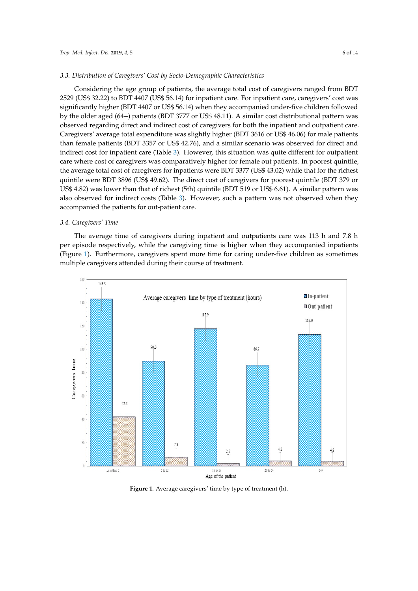## *3.3. Distribution of Caregivers' Cost by Socio-Demographic Characteristics*

Considering the age group of patients, the average total cost of caregivers ranged from BDT 2529 (US\$ 32.22) to BDT 4407 (US\$ 56.14) for inpatient care. For inpatient care, caregivers' cost was significantly higher (BDT 4407 or US\$ 56.14) when they accompanied under-five children followed *Trop. Med. Infect. Dis.* **2018**, *3*, 6 of 14 by the older aged (64+) patients (BDT 3777 or US\$ 48.11). A similar cost distributional pattern was observed regarding direct and indirect cost of caregivers for both the inpatient and outpatient care. observed regarding direct and indirect cost of caregivers for both the inpatient and outpatient care. Caregivers' average total expenditure was slightly higher (BDT 3616 or US\$ 46.06) for male patients Caregivers' average total expenditure was slightly higher (BDT 3616 or US\$ 46.06) for male patients than female patients (BDT 3357 or US\$ 42.76), and a similar scenario was observed for direct and than female patients (BDT 3357 or US\$ 42.76), and a similar scenario was observed for direct and indirect cost for inpatient care (Table 3). However, this situation was quite different for outpatient indirect cost for inpatient care (Table 3). However, this situation was quite different for outpatient care where cost of caregivers was comparatively higher for female out patients. In poorest quintile, care where cost of caregivers was comparatively higher for female out patients. In poorest quintile, the average total cost of caregivers for inpatients were BDT 3377 (US\$ 43.02) while that for the richest the average total cost of caregivers for inpatients were BDT 3377 (US\$ 43.02) while that for the richest quintile were BDT 3896 (US\$ 49.62). The direct cost of caregivers for poorest quintile (BDT 379 or US\$ 4.82) was lower than that of richest (5th) quintile (BDT 519 or US\$ 6.61). A similar pattern was also observed for indirect costs (Table 3). However, such a pattern was not observed when they accompanied the patients for out-patient care. accompanied the patients for out-patient care.

### *3.4. Caregivers' Time 3.4. Caregivers' Time*

The average time of caregivers during inpatient and outpatients care was 113 h and 7.8 h per episode respectively, while the caregiving time is higher when they accompanied inpatients (Figure 1). Furthermore, caregivers spent more time for caring under-five children as sometimes multiple caregivers attended during their course of treatment.



**Figure 1.** Average caregivers' time by type of treatment (h).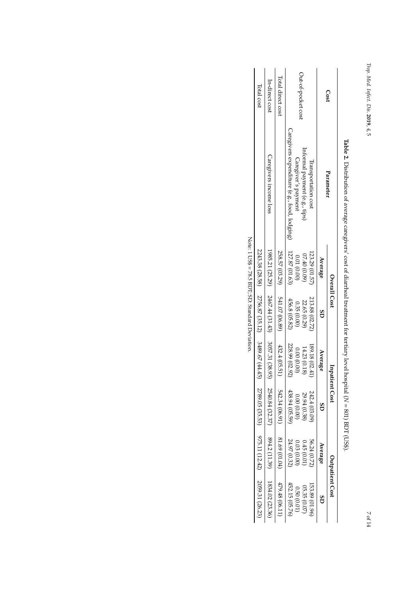| tio <sub>r</sub><br>S |
|-----------------------|
| LY LU UL .            |
| ryect.                |
| ς,                    |
| 2019,                 |
| さく                    |
| л                     |

| Total cost                                      | In-direct cost                                     | Total direct cost             | Out-of-pocket cost<br>Cost                                                                                                               |  |
|-------------------------------------------------|----------------------------------------------------|-------------------------------|------------------------------------------------------------------------------------------------------------------------------------------|--|
|                                                 | Caregivers income loss                             |                               | Caregivers expenditure (e.g., food, lodging)<br>Informal payment (e.g., tips)<br>Caregiver's payment<br>Iransportation cost<br>Parameter |  |
|                                                 |                                                    |                               | 127.87 (01.63)<br>123.29 (01.57<br>07.40 (0.09)<br>(00.01)(0.00)<br>Average                                                              |  |
| 2243.38 (28.58) 2756.87 (35.12) 3489.67 (44.45) | $1985.21(25.29)$ $2467.44(31.43)$ $3057.31(38.95)$ | 258.57 (03.29) 541.07 (06.89) | Overall Cost<br>213.88 (02.72)<br>456.8 (05.82)<br>22.65 (0.29)<br>0.35 (0.00)<br>GS                                                     |  |
|                                                 |                                                    | 432.4 (05.51)                 | 228.99 (02.92)<br>189.18 (02.41)<br>14.23 (0.18)<br>(0000000)<br>Average                                                                 |  |
|                                                 | 2540.84 (32.37)                                    |                               | Inpatient Cost<br>438.94 (05.59<br>242.4 (03.09<br>29.94 (0.38<br>0.00(0.00)<br>Ğ                                                        |  |
| 2789.05 (35.53) 975.11 (12.42) 2059.31 (26.23)  | 894.2 (11.39)                                      | 542.34 (06.91) 81.69 (01.04)  | 56.24 (0.72)<br>24.97 (0.32)<br>0.03(0.00)<br>0.45(0.01)<br>Average                                                                      |  |
|                                                 | 1834.02 (23.36)                                    | 479.48 (06.11)                | <b>Outpatient Cost</b><br>452.15 (05.76)<br>153.89 (01.96)<br>05.35 (0.07<br>0.50(0.01)                                                  |  |

**Table 2.** Distribution of average caregivers' cost of diarrheal treatment for tertiary level hospital (*N* = 801)BDT (US\$).

Note: 1 US\$ = 78.5 BDT; SD: StandardDeviation.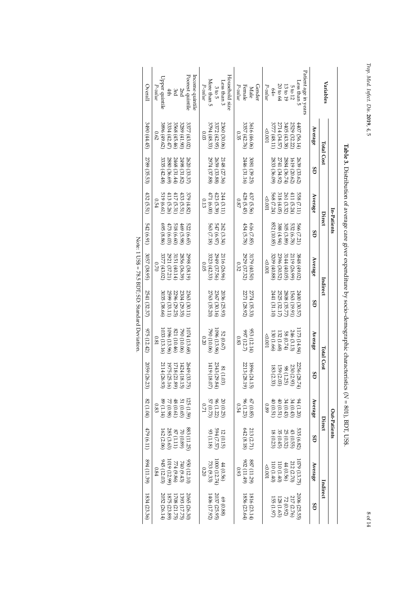| Upper quintile<br>P-value<br>3896 (49.62)<br>0.62<br>3335 (42.48)<br>519 (6.61)<br>0.54<br><b>G69</b><br>(8.86)<br>3377 (43.02)<br>0.70 | Poorest quintile<br>Income quintile<br>2nd<br>3rd<br>4th<br>3334 (42.47)<br>3568 (45.46)<br>3289 (41.90)<br>3377 (43.02)<br>2880 (36.69)<br>2468 (31.44)<br>2498 (31.82)<br>2620 (33.37)<br>417<br>379 (4.82)<br>433<br>(5.51)<br>(5.31)<br>818<br>522<br>69<br>(6.60)<br>(5.98)<br>(6.65)<br>3151 (40.14)<br>2856 (36.39)<br>2998 (38.19) | Household size<br>More than 5<br>Less than 3<br>P-value<br>3005<br>3794 (48.33)<br>3372 (42.95)<br>2360 (30.06)<br>0.03<br>2974 (37.88)<br>2659 (33.88)<br>2148 (27.36)<br>423 (5.39)<br>471 (6.00)<br>244 (3.11)<br>0.13<br>563 (7.18)<br>547 (6.97)<br>262 (3.34)<br>3323 (42.33)<br>2949 (37.56)<br>2116 (26.96)<br>0.05 | Gender<br>Female<br>P-value<br>Male<br>3357 (42.76)<br>3616 (46.06)<br>0.35<br>2446 (31.16)<br>3081 (39.25)<br>428 (5.45)<br>437 (5.56)<br>780<br>454 (5.78)<br>616 (7.85)<br>2929 (37.32)<br>3179 (40.50)<br>0.32 | Patient age in years<br>$5$ cose than<br>20 to 64<br>13 to 19<br>5 to 12<br>P-value<br>$64+$<br>3777 (48.11)<br>2714 (34.57)<br>3405 (43.38)<br>2529 (32.22)<br>4407 (56.14)<br>$-0.001$<br>2833 (36.09)<br>2741 (34.92)<br>2884 (36.74)<br>2639 (33.62)<br>1619 (20.62)<br>568 (7.24)<br>318(4.05)<br>261 (3.32)<br>411 (5.24)<br><b>558</b><br>$-0.001$<br>(7.11)<br>852 (10.85<br>388(4.94)<br>305<br>532 (6.78)<br>999<br>(3.89)<br>(7.21)<br>3209 (40.88)<br>3144(40.05)<br>2396 (30.52)<br>2119 (26.99)<br>3848 (49.02)<br>$-0.001$ | Variables<br>Average<br>Total Cost<br>GS<br>Average<br>Direct<br>GS<br>Average | In-Patients  |
|-----------------------------------------------------------------------------------------------------------------------------------------|--------------------------------------------------------------------------------------------------------------------------------------------------------------------------------------------------------------------------------------------------------------------------------------------------------------------------------------------|-----------------------------------------------------------------------------------------------------------------------------------------------------------------------------------------------------------------------------------------------------------------------------------------------------------------------------|--------------------------------------------------------------------------------------------------------------------------------------------------------------------------------------------------------------------|-------------------------------------------------------------------------------------------------------------------------------------------------------------------------------------------------------------------------------------------------------------------------------------------------------------------------------------------------------------------------------------------------------------------------------------------------------------------------------------------------------------------------------------------|--------------------------------------------------------------------------------|--------------|
| 2789 (35.53)                                                                                                                            | 413 (5.26)                                                                                                                                                                                                                                                                                                                                 |                                                                                                                                                                                                                                                                                                                             |                                                                                                                                                                                                                    |                                                                                                                                                                                                                                                                                                                                                                                                                                                                                                                                           |                                                                                |              |
| 432 (5.51)<br>542 (6.91)                                                                                                                | 473 (6.03)                                                                                                                                                                                                                                                                                                                                 |                                                                                                                                                                                                                                                                                                                             |                                                                                                                                                                                                                    |                                                                                                                                                                                                                                                                                                                                                                                                                                                                                                                                           |                                                                                |              |
| 3057 (38.95)                                                                                                                            | 2921 (37.21)                                                                                                                                                                                                                                                                                                                               |                                                                                                                                                                                                                                                                                                                             |                                                                                                                                                                                                                    |                                                                                                                                                                                                                                                                                                                                                                                                                                                                                                                                           |                                                                                |              |
| 2541 (32.37)                                                                                                                            | 3035 (38.66)<br>2363 (30.11)<br>2599 (33.11)<br>2304 (29.35)<br>2296 (29.25)                                                                                                                                                                                                                                                               | 2763 (35.20)<br>2367 (30.16)<br>2036 (25.93)                                                                                                                                                                                                                                                                                | 2271 (28.92)<br>2774 (35.33)                                                                                                                                                                                       | 2441 (31.10)<br>2525 (32.17)<br>2808<br>2400 (30.57)<br>1563 (19.91)<br>(35.77)                                                                                                                                                                                                                                                                                                                                                                                                                                                           | Indirect<br>GS                                                                 |              |
| 975 (12.42)                                                                                                                             | 1033 (13.16)<br>1074 (13.68<br>821 (10.46)<br>1096 (13.96)<br>790 (10.06)<br>$0.81\,$                                                                                                                                                                                                                                                      | 1096 (13.96)<br>790 (10.06)<br>52 (0.67)<br>0.20                                                                                                                                                                                                                                                                            | 997 (12.7)<br>953 (12.14)<br>0.83                                                                                                                                                                                  | 173 (14.94)<br>246 (3.13)<br>58(0.74)<br>130 (1.66)<br>132 (1.68)<br>$-0.001$                                                                                                                                                                                                                                                                                                                                                                                                                                                             | Average                                                                        |              |
| 2059<br>(26.23)                                                                                                                         | 2114<br>2649<br>1975<br>1718<br>1424<br>26.93<br>25.16<br>(1.89)<br>(18.15)<br>33.75                                                                                                                                                                                                                                                       | 2343 (29.84)<br>1419 (18.07)<br>81 (1)<br>60                                                                                                                                                                                                                                                                                | 2213<br>9681<br>(28.19)<br>(24.15)                                                                                                                                                                                 | 2256<br>230 (2.93)<br>159 (2.03)<br>98 (1.25)<br>183 (2.33)<br>28.74)                                                                                                                                                                                                                                                                                                                                                                                                                                                                     | <b>Total Cost</b><br>51                                                        |              |
| (1.04)                                                                                                                                  | 51 (0.65)<br>(61.14)<br>77 (0.98)<br>48 (0.61)<br>25 (1.59)<br>0.83                                                                                                                                                                                                                                                                        | 20 (0.25)<br>96 (1.22)<br>57(0.73)<br>$\overline{2}$                                                                                                                                                                                                                                                                        | 67 (0.85)<br>96 (1.23)<br>6.54                                                                                                                                                                                     | 0(1.20)<br>40(0.51)<br>34(0.43)<br>34(0.43)<br>40(0.51)<br>0.89                                                                                                                                                                                                                                                                                                                                                                                                                                                                           | Average                                                                        |              |
| 479 (6.11)                                                                                                                              | $\begin{array}{c} 883\ (11.25) \\ 70\ (0.89) \\ 87\ (1.11) \end{array}$<br>285 (3.63)<br>162(2.06)                                                                                                                                                                                                                                         | $594 (7.57)$<br>93 (1.18)<br>12 (0.15)                                                                                                                                                                                                                                                                                      | $213 (2.71)$ 642 (8.18)                                                                                                                                                                                            | 535 (6.82)<br>35 (0.45)<br>25 (0.32)<br>43 (0.55)<br>18 (0.23)                                                                                                                                                                                                                                                                                                                                                                                                                                                                            | Direct<br>GS                                                                   | Out-Patients |
| 894 (11.39)                                                                                                                             | 945 (12.03)<br>(66'Z1) 6101<br>950 (12.10)<br>774 (9.86)<br>740 (9.43)<br>0.84                                                                                                                                                                                                                                                             | 1000 (12.74)<br>733 (9.33)<br>44(0.56)<br>0.20                                                                                                                                                                                                                                                                              | $\frac{887\,(11.29)}{902\,(11.49)}$<br>0.93                                                                                                                                                                        | 079 (13.75<br>212 (2.70)<br>$(950)$ H<br>$(0f)$ 011<br>$(0 + 1) 01$<br>100.0                                                                                                                                                                                                                                                                                                                                                                                                                                                              | Average                                                                        |              |
| 1834 (23.36)                                                                                                                            | 2052 (26.14)<br><b>2065</b><br>1875 (23.89)<br>(393 (17.75)<br>708 (21.75)<br>(26.30)                                                                                                                                                                                                                                                      | 2037 (25.95)<br>406 (17.92)<br>(980)                                                                                                                                                                                                                                                                                        | 1856 (23.64)<br>1816 (23.14)                                                                                                                                                                                       | 1006 (25.55<br>217 (2.76)<br>128 (1.63)<br>155(1.97)<br>72 (0.92)                                                                                                                                                                                                                                                                                                                                                                                                                                                                         | Indirect<br>GS                                                                 |              |

| I<br>$T$ dinia $T$                                                                                  |
|-----------------------------------------------------------------------------------------------------|
| ļ<br>J                                                                                              |
| l<br>$\frac{1}{2}$<br>ł                                                                             |
|                                                                                                     |
|                                                                                                     |
|                                                                                                     |
| $\frac{1}{2}$                                                                                       |
| i<br>(<br>I                                                                                         |
|                                                                                                     |
| j<br>j<br>֖֖֪ׅ֢ׅ֪ׅ֪ׅׅׅׅ֪ׅ֪֪ׅ֖֪֪ׅ֚֚֚֚֚֚֚֚֚֚֚֚֚֚֚֚֚֚֡֕֕֓֕֬֝֬֝֬֝֬֓֓֞֬֝֬֓֞                              |
| $\ddot{\phantom{a}}$                                                                                |
|                                                                                                     |
| ֢ׅ֧֧֧֧֧֧֧֚֚֚֚֚֚֚֚֚֚֚֚֚֚֚֚֡֬֕֓֡֓֓֡֬֓֓֝֓֝֬֝֬֝֓֝֬֓<br>֧֪֪֧֪֧֧֧֪֪֪֧֧֪ׅ֧֪ׅ֧֪ׅ֧֚֚֚֚֚֚֚֚֚֚֚֚֚֚֚֚֝֝֝֝֝<br>∶ |
| i                                                                                                   |
| Ì                                                                                                   |
| I                                                                                                   |
|                                                                                                     |
|                                                                                                     |
| I                                                                                                   |
| Ì<br>j                                                                                              |
|                                                                                                     |
| $-22.7 - 22.7$<br>;<br>i                                                                            |
|                                                                                                     |
|                                                                                                     |
| Ì                                                                                                   |
| ı<br>$\frac{1}{11}$                                                                                 |
| Ş<br>j                                                                                              |
| J<br>Ì<br>j                                                                                         |
| l<br>j<br>í                                                                                         |
| ֦֖֧֢֝֓֓֓֓֓֓֓֓׆֧<br>֧֪֪֧֪֧֪֪֪֪֪֪֪֦֧֧֪֧֪֪֪֦֧֪֪֪֧֪֪֦֧֪֪֪֦֧֓֓֓֓֓֓֓֝֓֓֬֓֓֓<br>ğ<br>ì<br>ł                |
|                                                                                                     |

*Trop. Med.*

 *Infect. Dis.*

**2019**, *4*, 5

8 of 14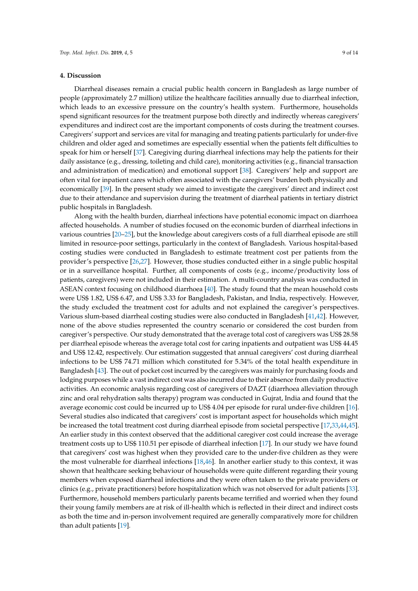#### **4. Discussion**

Diarrheal diseases remain a crucial public health concern in Bangladesh as large number of people (approximately 2.7 million) utilize the healthcare facilities annually due to diarrheal infection, which leads to an excessive pressure on the country's health system. Furthermore, households spend significant resources for the treatment purpose both directly and indirectly whereas caregivers' expenditures and indirect cost are the important components of costs during the treatment courses. Caregivers' support and services are vital for managing and treating patients particularly for under-five children and older aged and sometimes are especially essential when the patients felt difficulties to speak for him or herself [37]. Caregiving during diarrheal infections may help the patients for their daily assistance (e.g., dressing, toileting and child care), monitoring activities (e.g., financial transaction and administration of medication) and emotional support [38]. Caregivers' help and support are often vital for inpatient cares which often associated with the caregivers' burden both physically and economically [39]. In the present study we aimed to investigate the caregivers' direct and indirect cost due to their attendance and supervision during the treatment of diarrheal patients in tertiary district public hospitals in Bangladesh.

Along with the health burden, diarrheal infections have potential economic impact on diarrhoea affected households. A number of studies focused on the economic burden of diarrheal infections in various countries [20–25], but the knowledge about caregivers costs of a full diarrheal episode are still limited in resource-poor settings, particularly in the context of Bangladesh. Various hospital-based costing studies were conducted in Bangladesh to estimate treatment cost per patients from the provider's perspective [26,27]. However, those studies conducted either in a single public hospital or in a surveillance hospital. Further, all components of costs (e.g., income/productivity loss of patients, caregivers) were not included in their estimation. A multi-country analysis was conducted in ASEAN context focusing on childhood diarrhoea [40]. The study found that the mean household costs were US\$ 1.82, US\$ 6.47, and US\$ 3.33 for Bangladesh, Pakistan, and India, respectively. However, the study excluded the treatment cost for adults and not explained the caregiver's perspectives. Various slum-based diarrheal costing studies were also conducted in Bangladesh [41,42]. However, none of the above studies represented the country scenario or considered the cost burden from caregiver's perspective. Our study demonstrated that the average total cost of caregivers was US\$ 28.58 per diarrheal episode whereas the average total cost for caring inpatients and outpatient was US\$ 44.45 and US\$ 12.42, respectively. Our estimation suggested that annual caregivers' cost during diarrheal infections to be US\$ 74.71 million which constituted for 5.34% of the total health expenditure in Bangladesh [43]. The out of pocket cost incurred by the caregivers was mainly for purchasing foods and lodging purposes while a vast indirect cost was also incurred due to their absence from daily productive activities. An economic analysis regarding cost of caregivers of DAZT (diarrhoea alleviation through zinc and oral rehydration salts therapy) program was conducted in Gujrat, India and found that the average economic cost could be incurred up to US\$ 4.04 per episode for rural under-five children [16]. Several studies also indicated that caregivers' cost is important aspect for households which might be increased the total treatment cost during diarrheal episode from societal perspective [17,33,44,45]. An earlier study in this context observed that the additional caregiver cost could increase the average treatment costs up to US\$ 110.51 per episode of diarrheal infection [17]. In our study we have found that caregivers' cost was highest when they provided care to the under-five children as they were the most vulnerable for diarrheal infections [18,46]. In another earlier study to this context, it was shown that healthcare seeking behaviour of households were quite different regarding their young members when exposed diarrheal infections and they were often taken to the private providers or clinics (e.g., private practitioners) before hospitalization which was not observed for adult patients [33]. Furthermore, household members particularly parents became terrified and worried when they found their young family members are at risk of ill-health which is reflected in their direct and indirect costs as both the time and in-person involvement required are generally comparatively more for children than adult patients [19].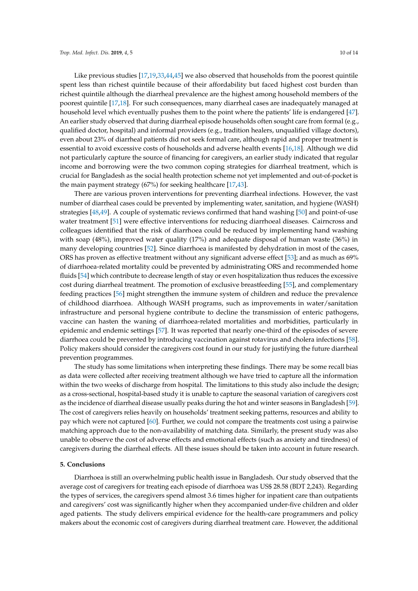Like previous studies [17,19,33,44,45] we also observed that households from the poorest quintile spent less than richest quintile because of their affordability but faced highest cost burden than richest quintile although the diarrheal prevalence are the highest among household members of the poorest quintile [17,18]. For such consequences, many diarrheal cases are inadequately managed at household level which eventually pushes them to the point where the patients' life is endangered [47]. An earlier study observed that during diarrheal episode households often sought care from formal (e.g., qualified doctor, hospital) and informal providers (e.g., tradition healers, unqualified village doctors), even about 23% of diarrheal patients did not seek formal care, although rapid and proper treatment is essential to avoid excessive costs of households and adverse health events [16,18]. Although we did not particularly capture the source of financing for caregivers, an earlier study indicated that regular income and borrowing were the two common coping strategies for diarrheal treatment, which is crucial for Bangladesh as the social health protection scheme not yet implemented and out-of-pocket is the main payment strategy (67%) for seeking healthcare [17,43].

There are various proven interventions for preventing diarrheal infections. However, the vast number of diarrheal cases could be prevented by implementing water, sanitation, and hygiene (WASH) strategies [48,49]. A couple of systematic reviews confirmed that hand washing [50] and point-of-use water treatment [51] were effective interventions for reducing diarrhoeal diseases. Cairncross and colleagues identified that the risk of diarrhoea could be reduced by implementing hand washing with soap (48%), improved water quality (17%) and adequate disposal of human waste (36%) in many developing countries [52]. Since diarrhoea is manifested by dehydration in most of the cases, ORS has proven as effective treatment without any significant adverse effect [53]; and as much as 69% of diarrhoea-related mortality could be prevented by administrating ORS and recommended home fluids [54] which contribute to decrease length of stay or even hospitalization thus reduces the excessive cost during diarrheal treatment. The promotion of exclusive breastfeeding [55], and complementary feeding practices [56] might strengthen the immune system of children and reduce the prevalence of childhood diarrhoea. Although WASH programs, such as improvements in water/sanitation infrastructure and personal hygiene contribute to decline the transmission of enteric pathogens, vaccine can hasten the waning of diarrhoea-related mortalities and morbidities, particularly in epidemic and endemic settings [57]. It was reported that nearly one-third of the episodes of severe diarrhoea could be prevented by introducing vaccination against rotavirus and cholera infections [58]. Policy makers should consider the caregivers cost found in our study for justifying the future diarrheal prevention programmes.

The study has some limitations when interpreting these findings. There may be some recall bias as data were collected after receiving treatment although we have tried to capture all the information within the two weeks of discharge from hospital. The limitations to this study also include the design; as a cross-sectional, hospital-based study it is unable to capture the seasonal variation of caregivers cost as the incidence of diarrheal disease usually peaks during the hot and winter seasons in Bangladesh [59]. The cost of caregivers relies heavily on households' treatment seeking patterns, resources and ability to pay which were not captured [60]. Further, we could not compare the treatments cost using a pairwise matching approach due to the non-availability of matching data. Similarly, the present study was also unable to observe the cost of adverse effects and emotional effects (such as anxiety and tiredness) of caregivers during the diarrheal effects. All these issues should be taken into account in future research.

## **5. Conclusions**

Diarrhoea is still an overwhelming public health issue in Bangladesh. Our study observed that the average cost of caregivers for treating each episode of diarrhoea was US\$ 28.58 (BDT 2,243). Regarding the types of services, the caregivers spend almost 3.6 times higher for inpatient care than outpatients and caregivers' cost was significantly higher when they accompanied under-five children and older aged patients. The study delivers empirical evidence for the health-care programmers and policy makers about the economic cost of caregivers during diarrheal treatment care. However, the additional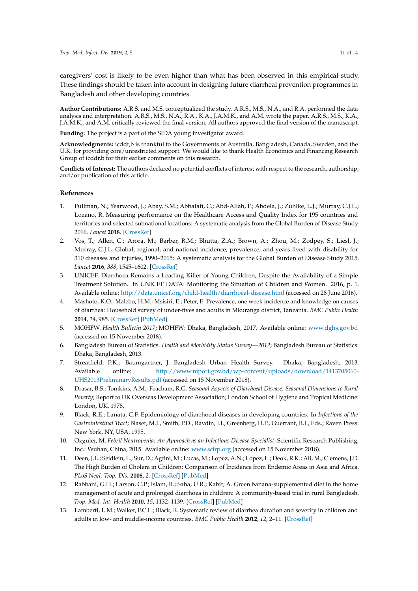caregivers' cost is likely to be even higher than what has been observed in this empirical study. These findings should be taken into account in designing future diarrheal prevention programmes in Bangladesh and other developing countries.

**Author Contributions:** A.R.S. and M.S. conceptualized the study. A.R.S., M.S., N.A., and R.A. performed the data analysis and interpretation. A.R.S., M.S., N.A., R.A., K.A., J.A.M.K., and A.M. wrote the paper. A.R.S., M.S., K.A., J.A.M.K., and A.M. critically reviewed the final version. All authors approved the final version of the manuscript.

**Funding:** The project is a part of the SIDA young investigator award.

**Acknowledgments:** icddr,b is thankful to the Governments of Australia, Bangladesh, Canada, Sweden, and the U.K. for providing core/unrestricted support. We would like to thank Health Economics and Financing Research Group of icddr,b for their earlier comments on this research.

**Conflicts of Interest:** The authors declared no potential conflicts of interest with respect to the research, authorship, and/or publication of this article.

#### **References**

- 1. Fullman, N.; Yearwood, J.; Abay, S.M.; Abbafati, C.; Abd-Allah, F.; Abdela, J.; Zuhlke, L.J.; Murray, C.J.L.; Lozano, R. Measuring performance on the Healthcare Access and Quality Index for 195 countries and territories and selected subnational locations: A systematic analysis from the Global Burden of Disease Study 2016. *Lancet* **2018**. [CrossRef]
- 2. Vos, T.; Allen, C.; Arora, M.; Barber, R.M.; Bhutta, Z.A.; Brown, A.; Zhou, M.; Zodpey, S.; Liesl, J.; Murray, C.J.L. Global, regional, and national incidence, prevalence, and years lived with disability for 310 diseases and injuries, 1990–2015: A systematic analysis for the Global Burden of Disease Study 2015. *Lancet* **2016**, *388*, 1545–1602. [CrossRef]
- 3. UNICEF. Diarrhoea Remains a Leading Killer of Young Children, Despite the Availability of a Simple Treatment Solution. In UNICEF DATA: Monitoring the Situation of Children and Women. 2016, p. 1. Available online: http://data.unicef.org/child-health/diarrhoeal-disease.html (accessed on 28 June 2016).
- 4. Mashoto, K.O.; Malebo, H.M.; Msisiri, E.; Peter, E. Prevalence, one week incidence and knowledge on causes of diarrhea: Household survey of under-fives and adults in Mkuranga district, Tanzania. *BMC Public Health* **2014**, *14*, 985. [CrossRef] [PubMed]
- 5. MOHFW. *Health Bulletin 2017*; MOHFW: Dhaka, Bangladesh, 2017. Available online: www.dghs.gov.bd (accessed on 15 November 2018).
- 6. Bangladesh Bureau of Statistics. *Health and Morbidity Status Survey—2012*; Bangladesh Bureau of Statistics: Dhaka, Bangladesh, 2013.
- 7. Streatfield, P.K.; Baumgartner, J. Bangladesh Urban Health Survey. Dhaka, Bangladesh, 2013. Available online: http://www.niport.gov.bd/wp-content/uploads/download/1413705060- UHS2013PreliminaryResults.pdf (accessed on 15 November 2018).
- 8. Drasar, B.S.; Tomkins, A.M.; Feacham, R.G. *Seasonal Aspects of Diarrhoeal Disease. Seasonal Dimensions to Rural Poverty*; Report to UK Overseas Development Association; London School of Hygiene and Tropical Medicine: London, UK, 1978.
- 9. Black, R.E.; Lanata, C.F. Epidemiology of diarrhoeal diseases in developing countries. In *Infections of the Gastrointestinal Tract*; Blaser, M.J., Smith, P.D., Ravdin, J.I., Greenberg, H.P., Guerrant, R.I., Eds.; Raven Press: New York, NY, USA, 1995.
- 10. Ozguler, M. *Febril Neutropenia: An Approach as an Infectious Disease Specialist*; Scientific Research Publishing, Inc.: Wuhan, China, 2015. Available online: www.scirp.org (accessed on 15 November 2018).
- 11. Deen, J.L.; Seidlein, L.; Sur, D.; Agtini, M.; Lucas, M.; Lopez, A.N.; Lopez, L.; Deok, R.K.; Ali, M.; Clemens, J.D. The High Burden of Cholera in Children: Comparison of Incidence from Endemic Areas in Asia and Africa. *PLoS Negl. Trop. Dis.* **2008**, *2*. [CrossRef] [PubMed]
- 12. Rabbani, G.H.; Larson, C.P.; Islam, R.; Saha, U.R.; Kabir, A. Green banana-supplemented diet in the home management of acute and prolonged diarrhoea in children: A community-based trial in rural Bangladesh. *Trop. Med. Int. Health* **2010**, *15*, 1132–1139. [CrossRef] [PubMed]
- 13. Lamberti, L.M.; Walker, F.C.L.; Black, R. Systematic review of diarrhea duration and severity in children and adults in low- and middle-income countries. *BMC Public Health* **2012**, *12*, 2–11. [CrossRef]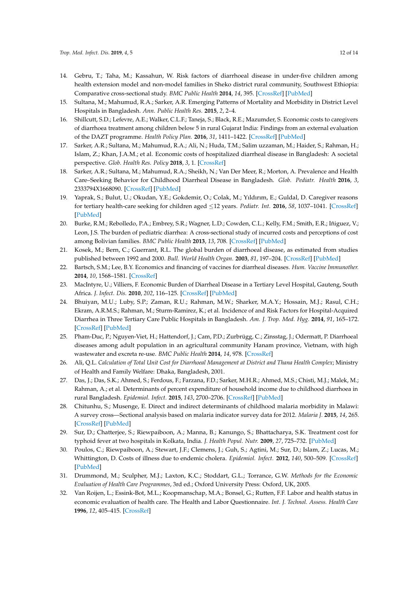- 14. Gebru, T.; Taha, M.; Kassahun, W. Risk factors of diarrhoeal disease in under-five children among health extension model and non-model families in Sheko district rural community, Southwest Ethiopia: Comparative cross-sectional study. *BMC Public Health* **2014**, *14*, 395. [CrossRef] [PubMed]
- 15. Sultana, M.; Mahumud, R.A.; Sarker, A.R. Emerging Patterns of Mortality and Morbidity in District Level Hospitals in Bangladesh. *Ann. Public Health Res.* **2015**, *2*, 2–4.
- 16. Shillcutt, S.D.; Lefevre, A.E.; Walker, C.L.F.; Taneja, S.; Black, R.E.; Mazumder, S. Economic costs to caregivers of diarrhoea treatment among children below 5 in rural Gujarat India: Findings from an external evaluation of the DAZT programme. *Health Policy Plan.* **2016**, *31*, 1411–1422. [CrossRef] [PubMed]
- 17. Sarker, A.R.; Sultana, M.; Mahumud, R.A.; Ali, N.; Huda, T.M.; Salim uzzaman, M.; Haider, S.; Rahman, H.; Islam, Z.; Khan, J.A.M.; et al. Economic costs of hospitalized diarrheal disease in Bangladesh: A societal perspective. *Glob. Health Res. Policy* **2018**, *3*, 1. [CrossRef]
- 18. Sarker, A.R.; Sultana, M.; Mahumud, R.A.; Sheikh, N.; Van Der Meer, R.; Morton, A. Prevalence and Health Care–Seeking Behavior for Childhood Diarrheal Disease in Bangladesh. *Glob. Pediatr. Health* **2016**, *3*, 2333794X1668090. [CrossRef] [PubMed]
- 19. Yaprak, S.; Bulut, U.; Okudan, Y.E.; Gokdemir, O.; Colak, M.; Yıldırım, E.; Guldal, D. Caregiver reasons for tertiary health-care seeking for children aged 12 years. *Pediatr. Int.* **2016**, *58*, 1037–1041. [CrossRef] [PubMed]
- 20. Burke, R.M.; Rebolledo, P.A.; Embrey, S.R.; Wagner, L.D.; Cowden, C.L.; Kelly, F.M.; Smith, E.R.; Iñiguez, V.; Leon, J.S. The burden of pediatric diarrhea: A cross-sectional study of incurred costs and perceptions of cost among Bolivian families. *BMC Public Health* **2013**, *13*, 708. [CrossRef] [PubMed]
- 21. Kosek, M.; Bern, C.; Guerrant, R.L. The global burden of diarrhoeal disease, as estimated from studies published between 1992 and 2000. *Bull. World Health Organ.* **2003**, *81*, 197–204. [CrossRef] [PubMed]
- 22. Bartsch, S.M.; Lee, B.Y. Economics and financing of vaccines for diarrheal diseases. *Hum. Vaccine Immunother.* **2014**, *10*, 1568–1581. [CrossRef]
- 23. MacIntyre, U.; Villiers, F. Economic Burden of Diarrheal Disease in a Tertiary Level Hospital, Gauteng, South Africa. *J. Infect. Dis.* **2010**, *202*, 116–125. [CrossRef] [PubMed]
- 24. Bhuiyan, M.U.; Luby, S.P.; Zaman, R.U.; Rahman, M.W.; Sharker, M.A.Y.; Hossain, M.J.; Rasul, C.H.; Ekram, A.R.M.S.; Rahman, M.; Sturm-Ramirez, K.; et al. Incidence of and Risk Factors for Hospital-Acquired Diarrhea in Three Tertiary Care Public Hospitals in Bangladesh. *Am. J. Trop. Med. Hyg.* **2014**, *91*, 165–172. [CrossRef] [PubMed]
- 25. Pham-Duc, P.; Nguyen-Viet, H.; Hattendorf, J.; Cam, P.D.; Zurbrügg, C.; Zinsstag, J.; Odermatt, P. Diarrhoeal diseases among adult population in an agricultural community Hanam province, Vietnam, with high wastewater and excreta re-use. *BMC Public Health* **2014**, *14*, 978. [CrossRef]
- 26. Ali, Q.L. *Calculation of Total Unit Cost for Diarrhoeal Management at District and Thana Health Complex*; Ministry of Health and Family Welfare: Dhaka, Bangladesh, 2001.
- 27. Das, J.; Das, S.K.; Ahmed, S.; Ferdous, F.; Farzana, F.D.; Sarker, M.H.R.; Ahmed, M.S.; Chisti, M.J.; Malek, M.; Rahman, A.; et al. Determinants of percent expenditure of household income due to childhood diarrhoea in rural Bangladesh. *Epidemiol. Infect.* **2015**, *143*, 2700–2706. [CrossRef] [PubMed]
- 28. Chitunhu, S.; Musenge, E. Direct and indirect determinants of childhood malaria morbidity in Malawi: A survey cross—Sectional analysis based on malaria indicator survey data for 2012. *Malaria J.* **2015**, *14*, 265. [CrossRef] [PubMed]
- 29. Sur, D.; Chatterjee, S.; Riewpaiboon, A.; Manna, B.; Kanungo, S.; Bhattacharya, S.K. Treatment cost for typhoid fever at two hospitals in Kolkata, India. *J. Health Popul. Nutr.* **2009**, *27*, 725–732. [PubMed]
- 30. Poulos, C.; Riewpaiboon, A.; Stewart, J.F.; Clemens, J.; Guh, S.; Agtini, M.; Sur, D.; Islam, Z.; Lucas, M.; Whittington, D. Costs of illness due to endemic cholera. *Epidemiol. Infect.* **2012**, *140*, 500–509. [CrossRef] [PubMed]
- 31. Drummond, M.; Sculpher, M.J.; Laxton, K.C.; Stoddart, G.L.; Torrance, G.W. *Methods for the Economic Evaluation of Health Care Programmes*, 3rd ed.; Oxford University Press: Oxford, UK, 2005.
- 32. Van Roijen, L.; Essink-Bot, M.L.; Koopmanschap, M.A.; Bonsel, G.; Rutten, F.F. Labor and health status in economic evaluation of health care. The Health and Labor Questionnaire. *Int. J. Technol. Assess. Health Care* **1996**, *12*, 405–415. [CrossRef]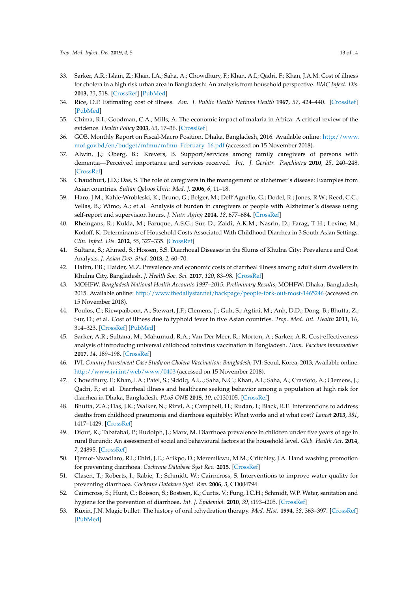- 33. Sarker, A.R.; Islam, Z.; Khan, I.A.; Saha, A.; Chowdhury, F.; Khan, A.I.; Qadri, F.; Khan, J.A.M. Cost of illness for cholera in a high risk urban area in Bangladesh: An analysis from household perspective. *BMC Infect. Dis.* **2013**, *13*, 518. [CrossRef] [PubMed]
- 34. Rice, D.P. Estimating cost of illness. *Am. J. Public Health Nations Health* **1967**, *57*, 424–440. [CrossRef] [PubMed]
- 35. Chima, R.I.; Goodman, C.A.; Mills, A. The economic impact of malaria in Africa: A critical review of the evidence. *Health Policy* **2003**, *63*, 17–36. [CrossRef]
- 36. GOB. Monthly Report on Fiscal-Macro Position. Dhaka, Bangladesh, 2016. Available online: http://www. mof.gov.bd/en/budget/mfmu/mfmu\_February\_16.pdf (accessed on 15 November 2018).
- 37. Alwin, J.; Öberg, B.; Krevers, B. Support/services among family caregivers of persons with dementia—Perceived importance and services received. *Int. J. Geriatr. Psychiatry* **2010**, *25*, 240–248. [CrossRef]
- 38. Chaudhuri, J.D.; Das, S. The role of caregivers in the management of alzheimer's disease: Examples from Asian countries. *Sultan Qaboos Univ. Med. J.* **2006**, *6*, 11–18.
- 39. Haro, J.M.; Kahle-Wrobleski, K.; Bruno, G.; Belger, M.; Dell'Agnello, G.; Dodel, R.; Jones, R.W.; Reed, C.C.; Vellas, B.; Wimo, A.; et al. Analysis of burden in caregivers of people with Alzheimer's disease using self-report and supervision hours. *J. Nutr. Aging* **2014**, *18*, 677–684. [CrossRef]
- 40. Rheingans, R.; Kukla, M.; Faruque, A.S.G.; Sur, D.; Zaidi, A.K.M.; Nasrin, D.; Farag, T H.; Levine, M.; Kotloff, K. Determinants of Household Costs Associated With Childhood Diarrhea in 3 South Asian Settings. *Clin. Infect. Dis.* **2012**, *55*, 327–335. [CrossRef]
- 41. Sultana, S.; Ahmed, S.; Hossen, S.S. Diarrhoeal Diseases in the Slums of Khulna City: Prevalence and Cost Analysis. *J. Asian Dev. Stud.* **2013**, *2*, 60–70.
- 42. Halim, F.B.; Haider, M.Z. Prevalence and economic costs of diarrheal illness among adult slum dwellers in Khulna City, Bangladesh. *J. Health Soc. Sci.* **2017**, *120*, 83–98. [CrossRef]
- 43. MOHFW. *Bangladesh National Health Accounts 1997–2015: Preliminary Results*; MOHFW: Dhaka, Bangladesh, 2015. Available online: http://www.thedailystar.net/backpage/people-fork-out-most-1465246 (accessed on 15 November 2018).
- 44. Poulos, C.; Riewpaiboon, A.; Stewart, J.F.; Clemens, J.; Guh, S.; Agtini, M.; Anh, D.D.; Dong, B.; Bhutta, Z.; Sur, D.; et al. Cost of illness due to typhoid fever in five Asian countries. *Trop. Med. Int. Health* **2011**, *16*, 314–323. [CrossRef] [PubMed]
- 45. Sarker, A.R.; Sultana, M.; Mahumud, R.A.; Van Der Meer, R.; Morton, A.; Sarker, A.R. Cost-effectiveness analysis of introducing universal childhood rotavirus vaccination in Bangladesh. *Hum. Vaccines Immunother.* **2017**, *14*, 189–198. [CrossRef]
- 46. IVI. *Country Investment Case Study on Cholera Vaccination: Bangladesh*; IVI: Seoul, Korea, 2013; Available online: http://www.ivi.int/web/www/0403 (accessed on 15 November 2018).
- 47. Chowdhury, F.; Khan, I.A.; Patel, S.; Siddiq, A.U.; Saha, N.C.; Khan, A.I.; Saha, A.; Cravioto, A.; Clemens, J.; Qadri, F.; et al. Diarrheal illness and healthcare seeking behavior among a population at high risk for diarrhea in Dhaka, Bangladesh. *PLoS ONE* **2015**, *10*, e0130105. [CrossRef]
- 48. Bhutta, Z.A.; Das, J.K.; Walker, N.; Rizvi, A.; Campbell, H.; Rudan, I.; Black, R.E. Interventions to address deaths from childhood pneumonia and diarrhoea equitably: What works and at what cost? *Lancet* **2013**, *381*, 1417–1429. [CrossRef]
- 49. Diouf, K.; Tabatabai, P.; Rudolph, J.; Marx, M. Diarrhoea prevalence in children under five years of age in rural Burundi: An assessment of social and behavioural factors at the household level. *Glob. Health Act.* **2014**, *7*, 24895. [CrossRef]
- 50. Ejemot-Nwadiaro, R.I.; Ehiri, J.E.; Arikpo, D.; Meremikwu, M.M.; Critchley, J.A. Hand washing promotion for preventing diarrhoea. *Cochrane Database Syst Rev.* **2015**. [CrossRef]
- 51. Clasen, T.; Roberts, I.; Rabie, T.; Schmidt, W.; Cairncross, S. Interventions to improve water quality for preventing diarrhoea. *Cochrane Database Syst. Rev.* **2006**, *3*, CD004794.
- 52. Cairncross, S.; Hunt, C.; Boisson, S.; Bostoen, K.; Curtis, V.; Fung, I.C.H.; Schmidt, W.P. Water, sanitation and hygiene for the prevention of diarrhoea. *Int. J. Epidemiol.* **2010**, *39*, i193–i205. [CrossRef]
- 53. Ruxin, J.N. Magic bullet: The history of oral rehydration therapy. *Med. Hist.* **1994**, *38*, 363–397. [CrossRef] [PubMed]